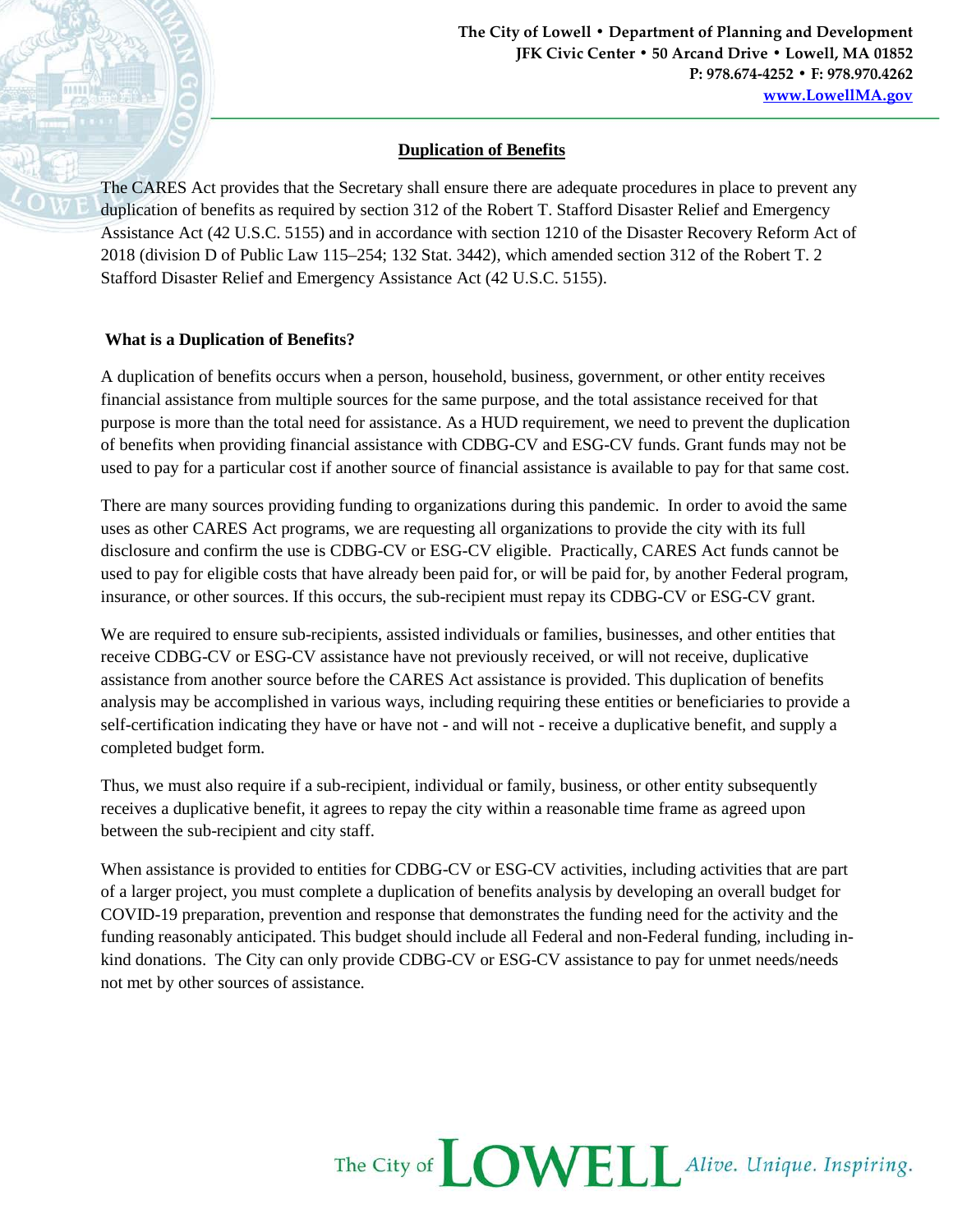## **Duplication of Benefits**

The CARES Act provides that the Secretary shall ensure there are adequate procedures in place to prevent any duplication of benefits as required by section 312 of the Robert T. Stafford Disaster Relief and Emergency Assistance Act (42 U.S.C. 5155) and in accordance with section 1210 of the Disaster Recovery Reform Act of 2018 (division D of Public Law 115–254; 132 Stat. 3442), which amended section 312 of the Robert T. 2 Stafford Disaster Relief and Emergency Assistance Act (42 U.S.C. 5155).

## **What is a Duplication of Benefits?**

A duplication of benefits occurs when a person, household, business, government, or other entity receives financial assistance from multiple sources for the same purpose, and the total assistance received for that purpose is more than the total need for assistance. As a HUD requirement, we need to prevent the duplication of benefits when providing financial assistance with CDBG-CV and ESG-CV funds. Grant funds may not be used to pay for a particular cost if another source of financial assistance is available to pay for that same cost.

There are many sources providing funding to organizations during this pandemic. In order to avoid the same uses as other CARES Act programs, we are requesting all organizations to provide the city with its full disclosure and confirm the use is CDBG-CV or ESG-CV eligible. Practically, CARES Act funds cannot be used to pay for eligible costs that have already been paid for, or will be paid for, by another Federal program, insurance, or other sources. If this occurs, the sub-recipient must repay its CDBG-CV or ESG-CV grant.

We are required to ensure sub-recipients, assisted individuals or families, businesses, and other entities that receive CDBG-CV or ESG-CV assistance have not previously received, or will not receive, duplicative assistance from another source before the CARES Act assistance is provided. This duplication of benefits analysis may be accomplished in various ways, including requiring these entities or beneficiaries to provide a self-certification indicating they have or have not - and will not - receive a duplicative benefit, and supply a completed budget form.

Thus, we must also require if a sub-recipient, individual or family, business, or other entity subsequently receives a duplicative benefit, it agrees to repay the city within a reasonable time frame as agreed upon between the sub-recipient and city staff.

When assistance is provided to entities for CDBG-CV or ESG-CV activities, including activities that are part of a larger project, you must complete a duplication of benefits analysis by developing an overall budget for COVID-19 preparation, prevention and response that demonstrates the funding need for the activity and the funding reasonably anticipated. This budget should include all Federal and non-Federal funding, including inkind donations. The City can only provide CDBG-CV or ESG-CV assistance to pay for unmet needs/needs not met by other sources of assistance.

## The City of **LOWELL** Alive. Unique. Inspiring.